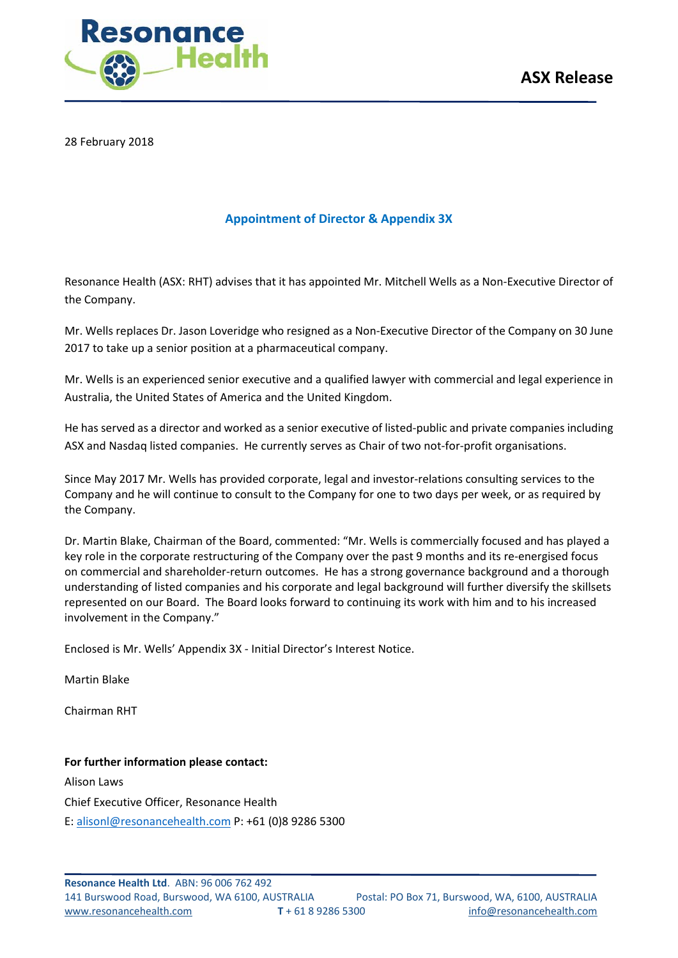

28 February 2018

## **Appointment of Director & Appendix 3X**

Resonance Health (ASX: RHT) advises that it has appointed Mr. Mitchell Wells as a Non-Executive Director of the Company.

Mr. Wells replaces Dr. Jason Loveridge who resigned as a Non-Executive Director of the Company on 30 June 2017 to take up a senior position at a pharmaceutical company.

Mr. Wells is an experienced senior executive and a qualified lawyer with commercial and legal experience in Australia, the United States of America and the United Kingdom.

He has served as a director and worked as a senior executive of listed-public and private companies including ASX and Nasdaq listed companies. He currently serves as Chair of two not-for-profit organisations.

Since May 2017 Mr. Wells has provided corporate, legal and investor-relations consulting services to the Company and he will continue to consult to the Company for one to two days per week, or as required by the Company.

Dr. Martin Blake, Chairman of the Board, commented: "Mr. Wells is commercially focused and has played a key role in the corporate restructuring of the Company over the past 9 months and its re-energised focus on commercial and shareholder-return outcomes. He has a strong governance background and a thorough understanding of listed companies and his corporate and legal background will further diversify the skillsets represented on our Board. The Board looks forward to continuing its work with him and to his increased involvement in the Company."

Enclosed is Mr. Wells' Appendix 3X - Initial Director's Interest Notice.

Martin Blake

Chairman RHT

### **For further information please contact:**

Alison Laws Chief Executive Officer, Resonance Health E: [alisonl@resonancehealth.com](mailto:alisonl@resonancehealth.com) P: +61 (0)8 9286 5300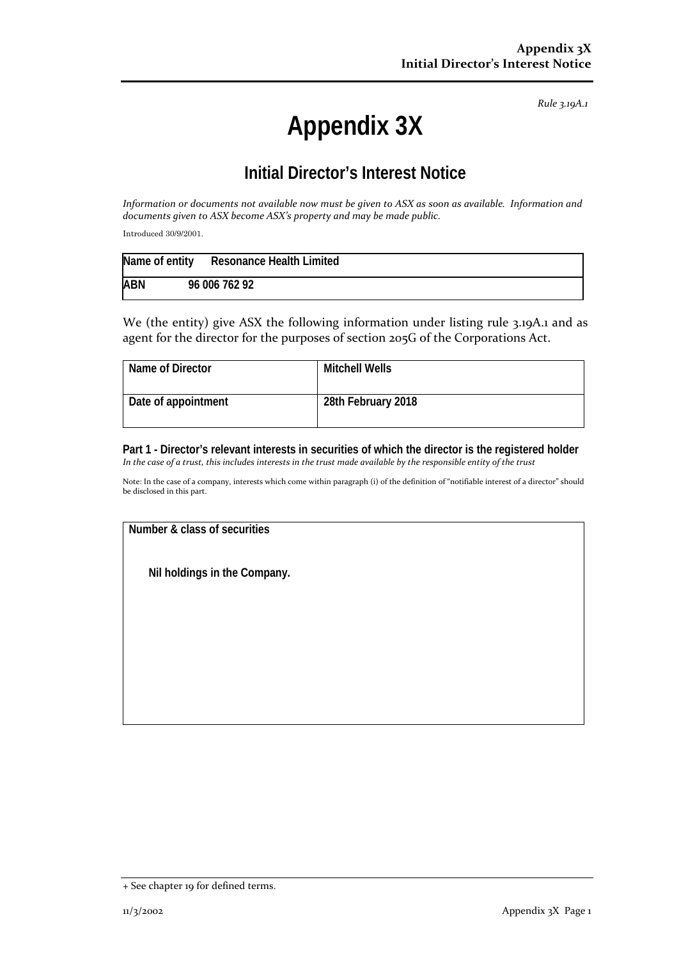*Rule 3.19A.1*

# **Appendix 3X**

# **Initial Director's Interest Notice**

*Information or documents not available now must be given to ASX as soon as available. Information and documents given to ASX become ASX's property and may be made public.*

Introduced 30/9/2001.

| Name of entity | <b>Resonance Health Limited</b> |
|----------------|---------------------------------|
| <b>ABN</b>     | 96 006 762 92                   |

We (the entity) give ASX the following information under listing rule 3.19A.1 and as agent for the director for the purposes of section 205G of the Corporations Act.

| Name of Director    | Mitchell Wells     |
|---------------------|--------------------|
| Date of appointment | 28th February 2018 |

**Part 1 - Director's relevant interests in securities of which the director is the registered holder** *In the case of a trust, this includes interests in the trust made available by the responsible entity of the trust*

Note: In the case of a company, interests which come within paragraph (i) of the definition of "notifiable interest of a director" should be disclosed in this part.

**Number & class of securities**

**Nil holdings in the Company.**

<sup>+</sup> See chapter 19 for defined terms.